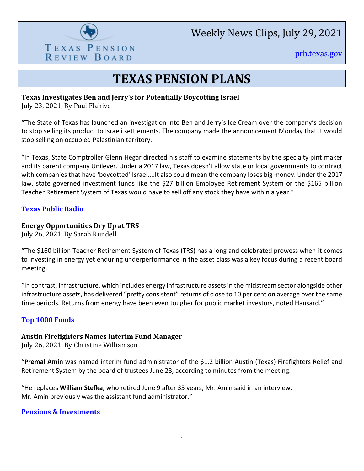

Weekly News Clips, July 29, 2021

[prb.texas.gov](http://www.prb.texas.gov/)

## **TEXAS PENSION PLANS**

#### **Texas Investigates Ben and Jerry's for Potentially Boycotting Israel**

July 23, 2021, By Paul Flahive

"The State of Texas has launched an investigation into Ben and Jerry's Ice Cream over the company's decision to stop selling its product to Israeli settlements. The company made the announcement Monday that it would stop selling on occupied Palestinian territory.

"In Texas, State Comptroller Glenn Hegar directed his staff to examine statements by the specialty pint maker and its parent company Unilever. Under a 2017 law, Texas doesn't allow state or local governments to contract with companies that have 'boycotted' Israel....It also could mean the company loses big money. Under the 2017 law, state governed investment funds like the \$27 billion Employee Retirement System or the \$165 billion Teacher Retirement System of Texas would have to sell off any stock they have within a year."

#### **[Texas Public Radio](https://www.tpr.org/business/2021-07-23/texas-investigates-ben-and-jerrys-for-potentially-boycotting-israel/)**

#### **Energy Opportunities Dry Up at TRS**

July 26, 2021, By Sarah Rundell

"The \$160 billion Teacher Retirement System of Texas (TRS) has a long and celebrated prowess when it comes to investing in energy yet enduring underperformance in the asset class was a key focus during a recent board meeting.

"In contrast, infrastructure, which includes energy infrastructure assets in the midstream sector alongside other infrastructure assets, has delivered "pretty consistent" returns of close to 10 per cent on average over the same time periods. Returns from energy have been even tougher for public market investors, noted Hansard."

#### **[Top 1000 Funds](https://www.top1000funds.com/2021/07/energy-opportunities-dry-up-at-trs/)**

#### **Austin Firefighters Names Interim Fund Manager**

July 26, 2021, By Christine Williamson

"**Premal Amin** was named interim fund administrator of the \$1.2 billion Austin (Texas) Firefighters Relief and Retirement System by the board of trustees June 28, according to minutes from the meeting.

"He replaces **William Stefka**, who retired June 9 after 35 years, Mr. Amin said in an interview. Mr. Amin previously was the assistant fund administrator."

**[Pensions & Investments](https://www.pionline.com/pension-funds/austin-firefighters-names-interim-fund-manager)**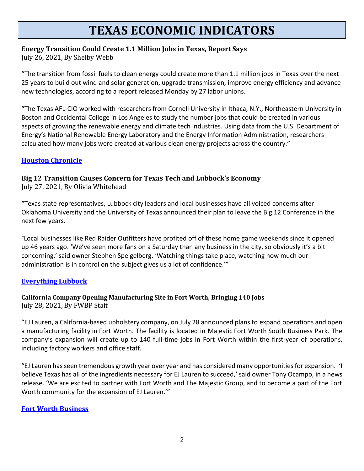# **TEXAS ECONOMIC INDICATORS**

## **Energy Transition Could Create 1.1 Million Jobs in Texas, Report Says**

July 26, 2021, By Shelby Webb

"The transition from fossil fuels to clean energy could create more than 1.1 million jobs in Texas over the next 25 years to build out wind and solar generation, upgrade transmission, improve energy efficiency and advance new technologies, according to a report released Monday by 27 labor unions.

"The Texas AFL-CIO worked with researchers from Cornell University in Ithaca, N.Y., Northeastern University in Boston and Occidental College in Los Angeles to study the number jobs that could be created in various aspects of growing the renewable energy and climate tech industries. Using data from the U.S. Department of Energy's National Renewable Energy Laboratory and the Energy Information Administration, researchers calculated how many jobs were created at various clean energy projects across the country."

## **[Houston Chronicle](https://www.houstonchronicle.com/business/energy/article/Energy-transition-could-create-1-1-million-jobs-16340230.php)**

## **Big 12 Transition Causes Concern for Texas Tech and Lubbock's Economy**

July 27, 2021, By Olivia Whitehead

"Texas state representatives, Lubbock city leaders and local businesses have all voiced concerns after Oklahoma University and the University of Texas announced their plan to leave the Big 12 Conference in the next few years.

"Local businesses like Red Raider Outfitters have profited off of these home game weekends since it opened up 46 years ago. 'We've seen more fans on a Saturday than any business in the city, so obviously it's a bit concerning,' said owner Stephen Speigelberg. 'Watching things take place, watching how much our administration is in control on the subject gives us a lot of confidence.'"

## **[Everything Lubbock](https://www.everythinglubbock.com/news/local-news/big-12-transition-causes-concern-for-texas-tech-and-lubbocks-economy/)**

#### **California Company Opening Manufacturing Site in Fort Worth, Bringing 140 Jobs** July 28, 2021, By FWBP Staff

"EJ Lauren, a California-based upholstery company, on July 28 announced plans to expand operations and open a manufacturing facility in Fort Worth. The facility is located in Majestic Fort Worth South Business Park. The company's expansion will create up to 140 full-time jobs in Fort Worth within the first-year of operations, including factory workers and office staff.

"EJ Lauren has seen tremendous growth year over year and has considered many opportunities for expansion. 'I believe Texas has all of the ingredients necessary for EJ Lauren to succeed,' said owner Tony Ocampo, in a news release. 'We are excited to partner with Fort Worth and The Majestic Group, and to become a part of the Fort Worth community for the expansion of EJ Lauren.'"

#### **[Fort Worth Business](https://fortworthbusiness.com/business/california-company-opening-manufacturing-site-in-fort-worth-bringing-140-jobs/)**